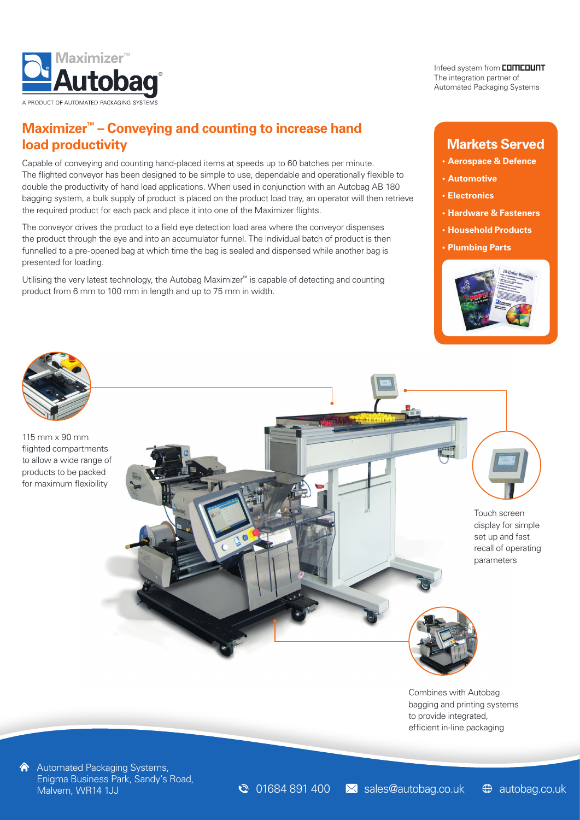

**Maximizer™ – Conveying and counting to increase hand load productivity**

Capable of conveying and counting hand-placed items at speeds up to 60 batches per minute. The flighted conveyor has been designed to be simple to use, dependable and operationally flexible to double the productivity of hand load applications. When used in conjunction with an Autobag AB 180 bagging system, a bulk supply of product is placed on the product load tray, an operator will then retrieve the required product for each pack and place it into one of the Maximizer flights.

The conveyor drives the product to a field eye detection load area where the conveyor dispenses the product through the eye and into an accumulator funnel. The individual batch of product is then funnelled to a pre-opened bag at which time the bag is sealed and dispensed while another bag is presented for loading.

Utilising the very latest technology, the Autobag Maximizer™ is capable of detecting and counting product from 6 mm to 100 mm in length and up to 75 mm in width.

Infeed system from **COMCOUNT** The integration partner of Automated Packaging Systems

# **Markets Served**

- **• Aerospace & Defence**
- **• Automotive**
- **• Electronics**
- **• Hardware & Fasteners**
- **• Household Products**
- **• Plumbing Parts**





A Automated Packaging Systems, Enigma Business Park, Sandy's Road,